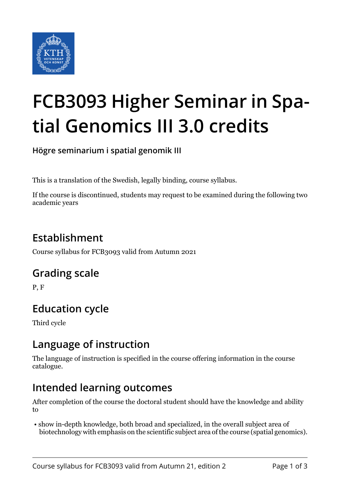

# **FCB3093 Higher Seminar in Spatial Genomics III 3.0 credits**

**Högre seminarium i spatial genomik III**

This is a translation of the Swedish, legally binding, course syllabus.

If the course is discontinued, students may request to be examined during the following two academic years

# **Establishment**

Course syllabus for FCB3093 valid from Autumn 2021

## **Grading scale**

P, F

## **Education cycle**

Third cycle

## **Language of instruction**

The language of instruction is specified in the course offering information in the course catalogue.

## **Intended learning outcomes**

After completion of the course the doctoral student should have the knowledge and ability to

 • show in-depth knowledge, both broad and specialized, in the overall subject area of biotechnology with emphasis on the scientific subject area of the course (spatial genomics).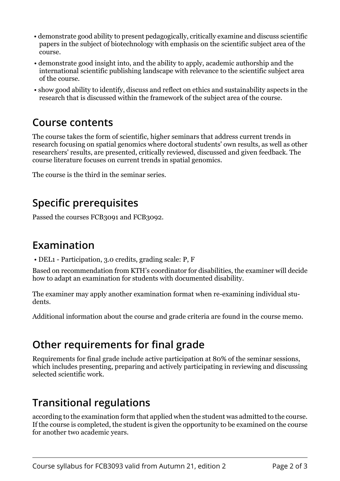- demonstrate good ability to present pedagogically, critically examine and discuss scientific papers in the subject of biotechnology with emphasis on the scientific subject area of the course.
- demonstrate good insight into, and the ability to apply, academic authorship and the international scientific publishing landscape with relevance to the scientific subject area of the course.
- show good ability to identify, discuss and reflect on ethics and sustainability aspects in the research that is discussed within the framework of the subject area of the course.

#### **Course contents**

The course takes the form of scientific, higher seminars that address current trends in research focusing on spatial genomics where doctoral students' own results, as well as other researchers' results, are presented, critically reviewed, discussed and given feedback. The course literature focuses on current trends in spatial genomics.

The course is the third in the seminar series.

# **Specific prerequisites**

Passed the courses FCB3091 and FCB3092.

## **Examination**

• DEL1 - Participation, 3.0 credits, grading scale: P, F

Based on recommendation from KTH's coordinator for disabilities, the examiner will decide how to adapt an examination for students with documented disability.

The examiner may apply another examination format when re-examining individual students.

Additional information about the course and grade criteria are found in the course memo.

## **Other requirements for final grade**

Requirements for final grade include active participation at 80% of the seminar sessions, which includes presenting, preparing and actively participating in reviewing and discussing selected scientific work.

# **Transitional regulations**

according to the examination form that applied when the student was admitted to the course. If the course is completed, the student is given the opportunity to be examined on the course for another two academic years.